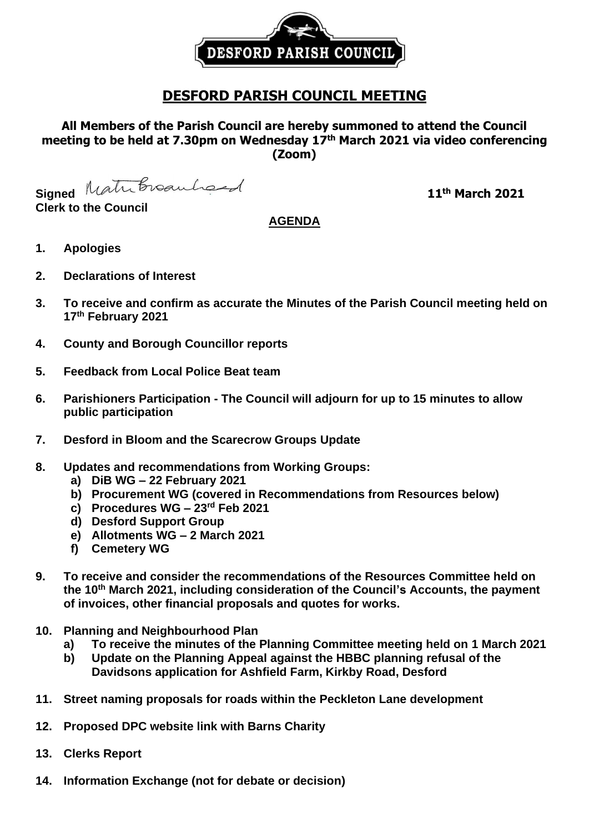

# **DESFORD PARISH COUNCIL MEETING**

## **All Members of the Parish Council are hereby summoned to attend the Council meeting to be held at 7.30pm on Wednesday 17th March 2021 via video conferencing (Zoom)**

Signed Matribroauhord

**Clerk to the Council**

# **th March 2021**

## **AGENDA**

- **1. Apologies**
- **2. Declarations of Interest**
- **3. To receive and confirm as accurate the Minutes of the Parish Council meeting held on 17th February 2021**
- **4. County and Borough Councillor reports**
- **5. Feedback from Local Police Beat team**
- **6. Parishioners Participation - The Council will adjourn for up to 15 minutes to allow public participation**
- **7. Desford in Bloom and the Scarecrow Groups Update**
- **8. Updates and recommendations from Working Groups:**
	- **a) DiB WG – 22 February 2021**
	- **b) Procurement WG (covered in Recommendations from Resources below)**
	- **c) Procedures WG – 23rd Feb 2021**
	- **d) Desford Support Group**
	- **e) Allotments WG – 2 March 2021**
	- **f) Cemetery WG**
- **9. To receive and consider the recommendations of the Resources Committee held on the 10 th March 2021, including consideration of the Council's Accounts, the payment of invoices, other financial proposals and quotes for works.**
- **10. Planning and Neighbourhood Plan**
	- **a) To receive the minutes of the Planning Committee meeting held on 1 March 2021**
	- **b) Update on the Planning Appeal against the HBBC planning refusal of the Davidsons application for Ashfield Farm, Kirkby Road, Desford**
- **11. Street naming proposals for roads within the Peckleton Lane development**
- **12. Proposed DPC website link with Barns Charity**
- **13. Clerks Report**
- **14. Information Exchange (not for debate or decision)**